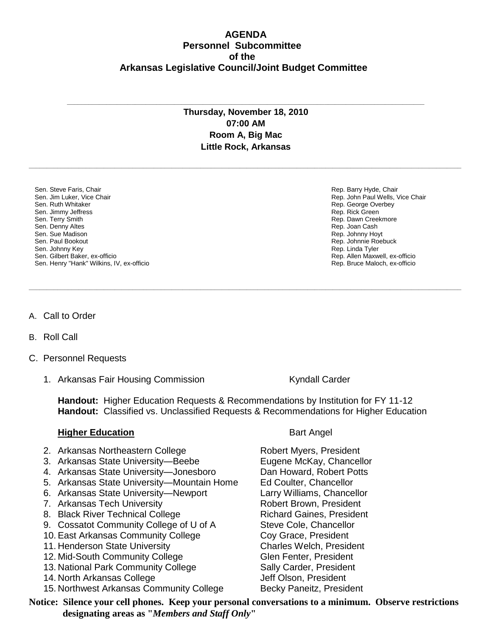## **AGENDA Personnel Subcommittee of the Arkansas Legislative Council/Joint Budget Committee**

## **Thursday, November 18, 2010 07:00 AM Room A, Big Mac Little Rock, Arkansas**

**\_\_\_\_\_\_\_\_\_\_\_\_\_\_\_\_\_\_\_\_\_\_\_\_\_\_\_\_\_\_\_\_\_\_\_\_\_\_\_\_\_\_\_\_\_\_\_\_\_\_\_\_\_\_\_\_\_\_\_\_\_\_\_\_\_\_\_\_\_\_\_\_\_\_\_\_\_\_\_\_\_\_\_\_\_\_\_\_\_\_\_\_\_\_\_\_\_\_\_\_\_\_\_\_\_\_\_\_\_\_\_\_\_\_\_\_\_\_\_\_\_**

**\_\_\_\_\_\_\_\_\_\_\_\_\_\_\_\_\_\_\_\_\_\_\_\_\_\_\_\_\_\_\_\_\_\_\_\_\_\_\_\_\_\_\_\_\_\_\_\_\_\_\_\_\_\_\_\_\_\_\_\_\_\_\_\_\_\_\_\_\_\_\_\_\_\_\_\_\_\_\_\_\_\_\_\_\_\_\_\_\_\_\_\_\_\_\_\_\_\_\_\_\_\_\_\_\_\_\_\_\_\_\_\_\_\_\_\_\_\_\_\_\_**

**\_\_\_\_\_\_\_\_\_\_\_\_\_\_\_\_\_\_\_\_\_\_\_\_\_\_\_\_\_\_\_\_\_\_\_\_\_\_\_\_\_\_\_\_\_\_\_\_\_\_\_\_\_\_\_\_\_\_\_\_\_\_\_\_\_\_\_\_\_\_\_\_\_\_\_\_\_\_\_\_\_\_\_\_\_\_\_\_\_\_\_\_\_\_\_\_\_\_\_\_**

- Sen. Steve Faris, Chair Sen. Jim Luker, Vice Chair Sen. Ruth Whitaker Sen. Jimmy Jeffress Sen. Terry Smith Sen. Denny Altes Sen. Sue Madison Sen. Paul Bookout Sen. Johnny Key Sen. Gilbert Baker, ex-officio Sen. Henry "Hank" Wilkins, IV, ex-officio
- A. Call to Order
- B. Roll Call
- C. Personnel Requests
	- 1. Arkansas Fair Housing Commission The Controller Carder

**Handout:** Higher Education Requests & Recommendations by Institution for FY 11-12 **Handout:** Classified vs. Unclassified Requests & Recommendations for Higher Education

## **Higher Education** Bart Angel

- 2. Arkansas Northeastern College Robert Myers, President
- 3. Arkansas State University—Beebe Eugene McKay, Chancellor
- 4. Arkansas State University—Jonesboro Dan Howard, Robert Potts
- 5. Arkansas State University—Mountain Home Ed Coulter, Chancellor
- 6. Arkansas State University—Newport Larry Williams, Chancellor
- 7. Arkansas Tech University **Robert Brown, President**
- 8. Black River Technical College **Richard Gaines, President**
- 9. Cossatot Community College of U of A Steve Cole, Chancellor
- 10. East Arkansas Community College Coy Grace, President
- 11. Henderson State University Charles Welch, President
- 12. Mid-South Community College Glen Fenter, President
- 13. National Park Community College Sally Carder, President
- 14. North Arkansas College Jeff Olson, President
- 15. Northwest Arkansas Community College Becky Paneitz, President

**Notice: Silence your cell phones. Keep your personal conversations to a minimum. Observe restrictions designating areas as "***Members and Staff Only***"**

Rep. Barry Hyde, Chair Rep. John Paul Wells, Vice Chair Rep. George Overbey Rep. Rick Green Rep. Dawn Creekmore Rep. Joan Cash Rep. Johnny Hoyt Rep. Johnnie Roebuck Rep. Linda Tyler Rep. Allen Maxwell, ex-officio Rep. Bruce Maloch, ex-officio